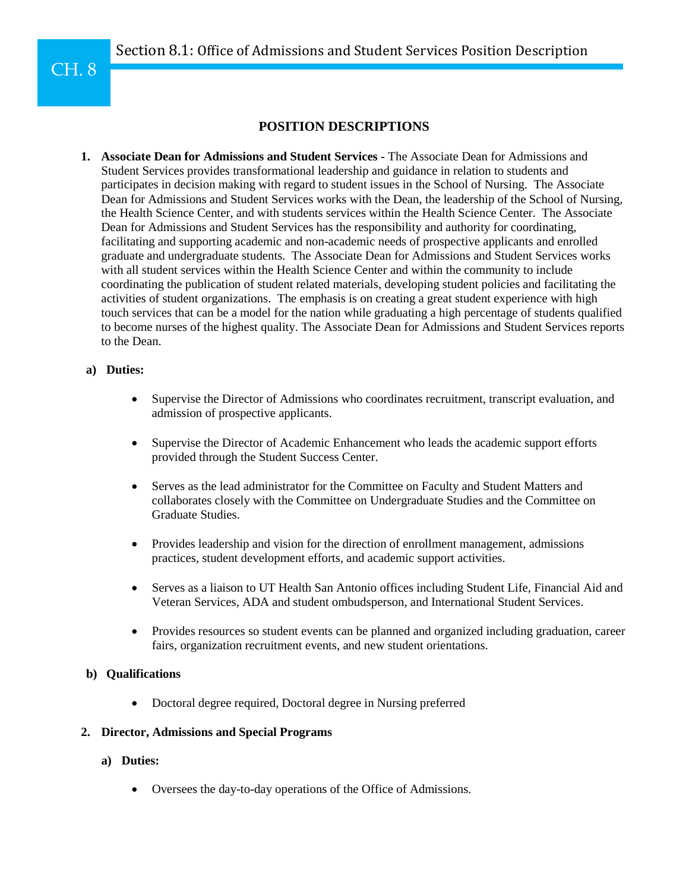# **POSITION DESCRIPTIONS**

**1. Associate Dean for Admissions and Student Services -** The Associate Dean for Admissions and Student Services provides transformational leadership and guidance in relation to students and participates in decision making with regard to student issues in the School of Nursing. The Associate Dean for Admissions and Student Services works with the Dean, the leadership of the School of Nursing, the Health Science Center, and with students services within the Health Science Center. The Associate Dean for Admissions and Student Services has the responsibility and authority for coordinating, facilitating and supporting academic and non-academic needs of prospective applicants and enrolled graduate and undergraduate students. The Associate Dean for Admissions and Student Services works with all student services within the Health Science Center and within the community to include coordinating the publication of student related materials, developing student policies and facilitating the activities of student organizations. The emphasis is on creating a great student experience with high touch services that can be a model for the nation while graduating a high percentage of students qualified to become nurses of the highest quality. The Associate Dean for Admissions and Student Services reports to the Dean.

# **a) Duties:**

- Supervise the Director of Admissions who coordinates recruitment, transcript evaluation, and admission of prospective applicants.
- Supervise the Director of Academic Enhancement who leads the academic support efforts provided through the Student Success Center.
- Serves as the lead administrator for the Committee on Faculty and Student Matters and collaborates closely with the Committee on Undergraduate Studies and the Committee on Graduate Studies.
- Provides leadership and vision for the direction of enrollment management, admissions practices, student development efforts, and academic support activities.
- Serves as a liaison to UT Health San Antonio offices including Student Life, Financial Aid and Veteran Services, ADA and student ombudsperson, and International Student Services.
- Provides resources so student events can be planned and organized including graduation, career fairs, organization recruitment events, and new student orientations.

# **b) Qualifications**

• Doctoral degree required, Doctoral degree in Nursing preferred

# **2. Director, Admissions and Special Programs**

- **a) Duties:**
	- Oversees the day-to-day operations of the Office of Admissions.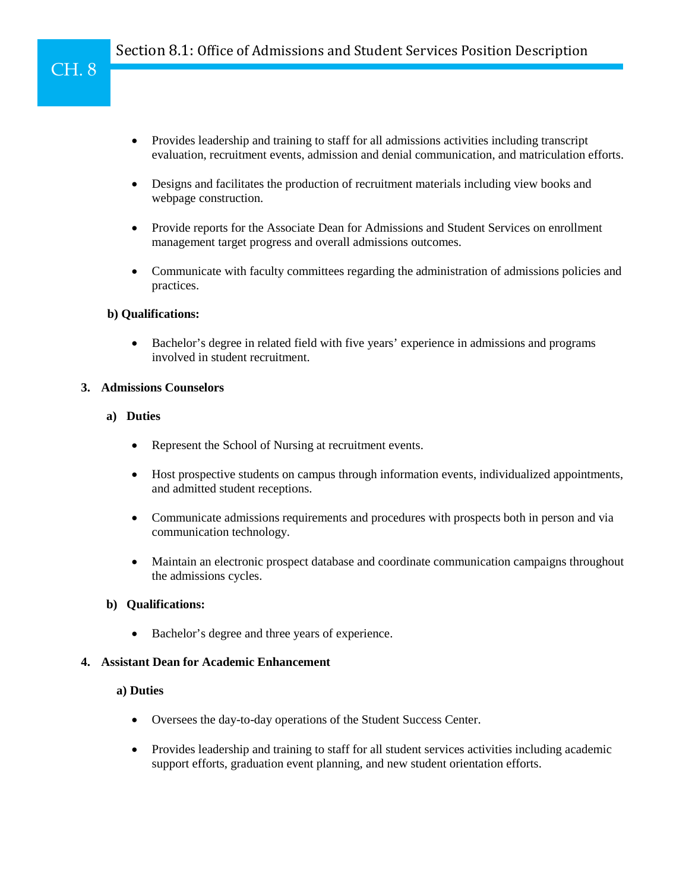- Provides leadership and training to staff for all admissions activities including transcript evaluation, recruitment events, admission and denial communication, and matriculation efforts.
- Designs and facilitates the production of recruitment materials including view books and webpage construction.
- Provide reports for the Associate Dean for Admissions and Student Services on enrollment management target progress and overall admissions outcomes.
- Communicate with faculty committees regarding the administration of admissions policies and practices.

## **b) Qualifications:**

• Bachelor's degree in related field with five years' experience in admissions and programs involved in student recruitment.

## **3. Admissions Counselors**

## **a) Duties**

- Represent the School of Nursing at recruitment events.
- Host prospective students on campus through information events, individualized appointments, and admitted student receptions.
- Communicate admissions requirements and procedures with prospects both in person and via communication technology.
- Maintain an electronic prospect database and coordinate communication campaigns throughout the admissions cycles.

# **b) Qualifications:**

• Bachelor's degree and three years of experience.

# **4. Assistant Dean for Academic Enhancement**

#### **a) Duties**

- Oversees the day-to-day operations of the Student Success Center.
- Provides leadership and training to staff for all student services activities including academic support efforts, graduation event planning, and new student orientation efforts.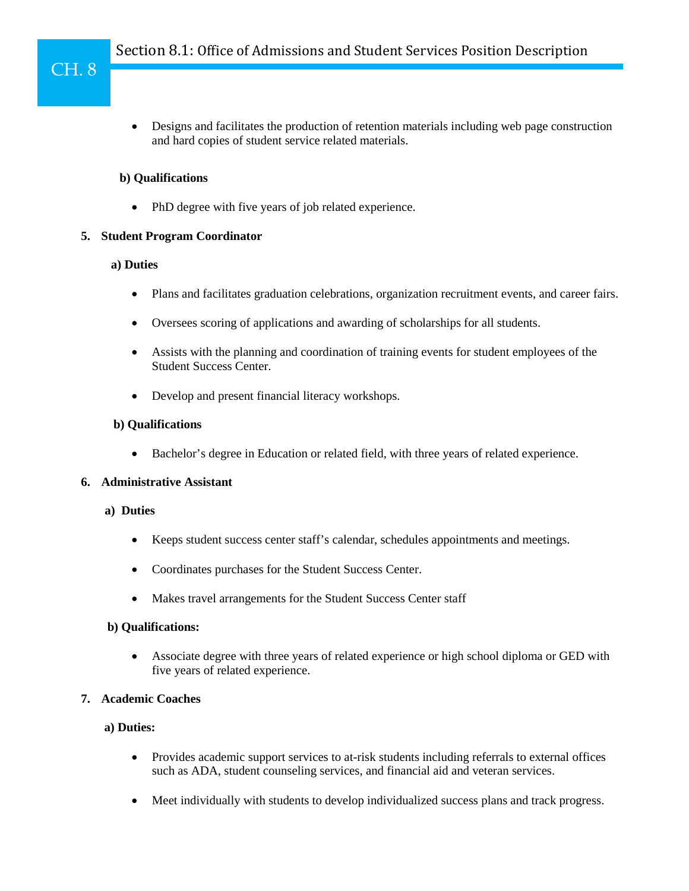• Designs and facilitates the production of retention materials including web page construction and hard copies of student service related materials.

## **b) Qualifications**

• PhD degree with five years of job related experience.

# **5. Student Program Coordinator**

#### **a) Duties**

- Plans and facilitates graduation celebrations, organization recruitment events, and career fairs.
- Oversees scoring of applications and awarding of scholarships for all students.
- Assists with the planning and coordination of training events for student employees of the Student Success Center.
- Develop and present financial literacy workshops.

## **b) Qualifications**

• Bachelor's degree in Education or related field, with three years of related experience.

## **6. Administrative Assistant**

#### **a) Duties**

- Keeps student success center staff's calendar, schedules appointments and meetings.
- Coordinates purchases for the Student Success Center.
- Makes travel arrangements for the Student Success Center staff

# **b) Qualifications:**

• Associate degree with three years of related experience or high school diploma or GED with five years of related experience.

# **7. Academic Coaches**

#### **a) Duties:**

- Provides academic support services to at-risk students including referrals to external offices such as ADA, student counseling services, and financial aid and veteran services.
- Meet individually with students to develop individualized success plans and track progress.